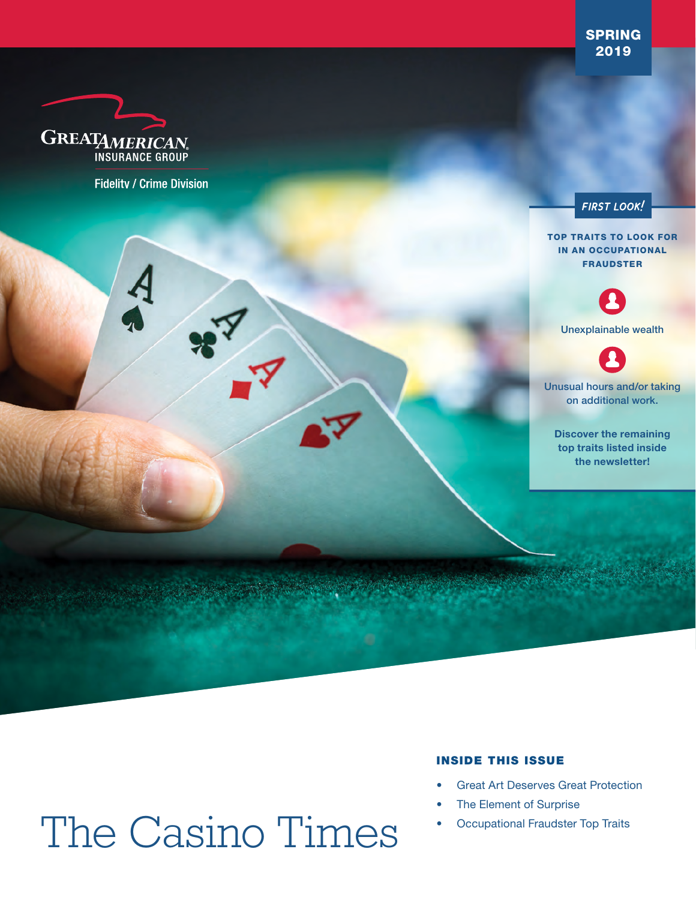SPRING 2019



**Fidelity / Crime Division** 



TOP TRAITS TO LOOK FOR IN AN OCCUPATIONAL FRAUDSTER



Unexplainable wealth

Unusual hours and/or taking on additional work.

Discover the remaining top traits listed inside the newsletter!

# The Casino Times

#### INSIDE THIS ISSUE

- **Great Art Deserves Great Protection**
- The Element of Surprise
- Occupational Fraudster Top Traits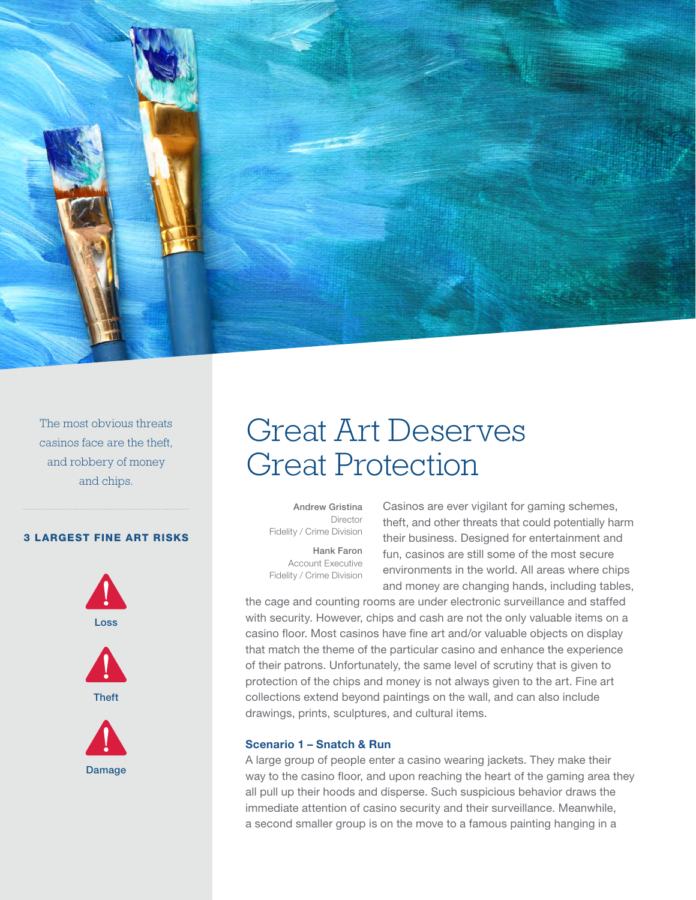

The most obvious threats casinos face are the theft, and robbery of money and chips.

#### 3 LARGEST FINE ART RISKS



**Theft** 



## Great Art Deserves Great Protection

Andrew Gristina Director Fidelity / Crime Division

Hank Faron Account Executive Fidelity / Crime Division

Casinos are ever vigilant for gaming schemes, theft, and other threats that could potentially harm their business. Designed for entertainment and fun, casinos are still some of the most secure environments in the world. All areas where chips and money are changing hands, including tables,

the cage and counting rooms are under electronic surveillance and staffed with security. However, chips and cash are not the only valuable items on a casino floor. Most casinos have fine art and/or valuable objects on display that match the theme of the particular casino and enhance the experience of their patrons. Unfortunately, the same level of scrutiny that is given to protection of the chips and money is not always given to the art. Fine art collections extend beyond paintings on the wall, and can also include drawings, prints, sculptures, and cultural items.

#### Scenario 1 – Snatch & Run

A large group of people enter a casino wearing jackets. They make their way to the casino floor, and upon reaching the heart of the gaming area they all pull up their hoods and disperse. Such suspicious behavior draws the immediate attention of casino security and their surveillance. Meanwhile, a second smaller group is on the move to a famous painting hanging in a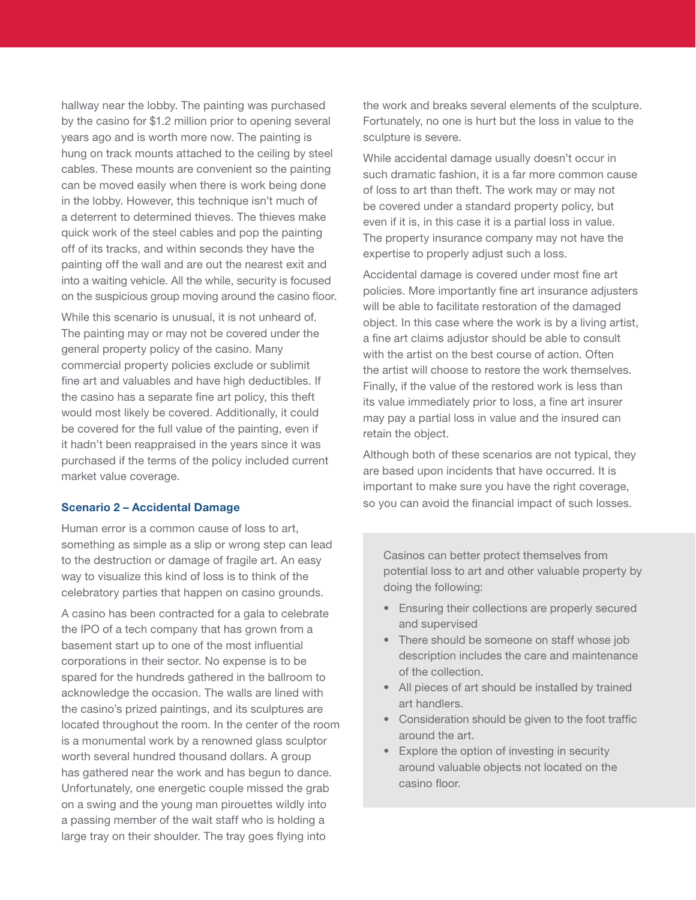hallway near the lobby. The painting was purchased by the casino for \$1.2 million prior to opening several years ago and is worth more now. The painting is hung on track mounts attached to the ceiling by steel cables. These mounts are convenient so the painting can be moved easily when there is work being done in the lobby. However, this technique isn't much of a deterrent to determined thieves. The thieves make quick work of the steel cables and pop the painting off of its tracks, and within seconds they have the painting off the wall and are out the nearest exit and into a waiting vehicle. All the while, security is focused on the suspicious group moving around the casino floor.

While this scenario is unusual, it is not unheard of. The painting may or may not be covered under the general property policy of the casino. Many commercial property policies exclude or sublimit fine art and valuables and have high deductibles. If the casino has a separate fine art policy, this theft would most likely be covered. Additionally, it could be covered for the full value of the painting, even if it hadn't been reappraised in the years since it was purchased if the terms of the policy included current market value coverage.

#### Scenario 2 – Accidental Damage

Human error is a common cause of loss to art, something as simple as a slip or wrong step can lead to the destruction or damage of fragile art. An easy way to visualize this kind of loss is to think of the celebratory parties that happen on casino grounds.

A casino has been contracted for a gala to celebrate the IPO of a tech company that has grown from a basement start up to one of the most influential corporations in their sector. No expense is to be spared for the hundreds gathered in the ballroom to acknowledge the occasion. The walls are lined with the casino's prized paintings, and its sculptures are located throughout the room. In the center of the room is a monumental work by a renowned glass sculptor worth several hundred thousand dollars. A group has gathered near the work and has begun to dance. Unfortunately, one energetic couple missed the grab on a swing and the young man pirouettes wildly into a passing member of the wait staff who is holding a large tray on their shoulder. The tray goes flying into

the work and breaks several elements of the sculpture. Fortunately, no one is hurt but the loss in value to the sculpture is severe.

While accidental damage usually doesn't occur in such dramatic fashion, it is a far more common cause of loss to art than theft. The work may or may not be covered under a standard property policy, but even if it is, in this case it is a partial loss in value. The property insurance company may not have the expertise to properly adjust such a loss.

Accidental damage is covered under most fine art policies. More importantly fine art insurance adjusters will be able to facilitate restoration of the damaged object. In this case where the work is by a living artist, a fine art claims adjustor should be able to consult with the artist on the best course of action. Often the artist will choose to restore the work themselves. Finally, if the value of the restored work is less than its value immediately prior to loss, a fine art insurer may pay a partial loss in value and the insured can retain the object.

Although both of these scenarios are not typical, they are based upon incidents that have occurred. It is important to make sure you have the right coverage, so you can avoid the financial impact of such losses.

Casinos can better protect themselves from potential loss to art and other valuable property by doing the following:

- Ensuring their collections are properly secured and supervised
- There should be someone on staff whose job description includes the care and maintenance of the collection.
- All pieces of art should be installed by trained art handlers.
- Consideration should be given to the foot traffic around the art.
- Explore the option of investing in security around valuable objects not located on the casino floor.